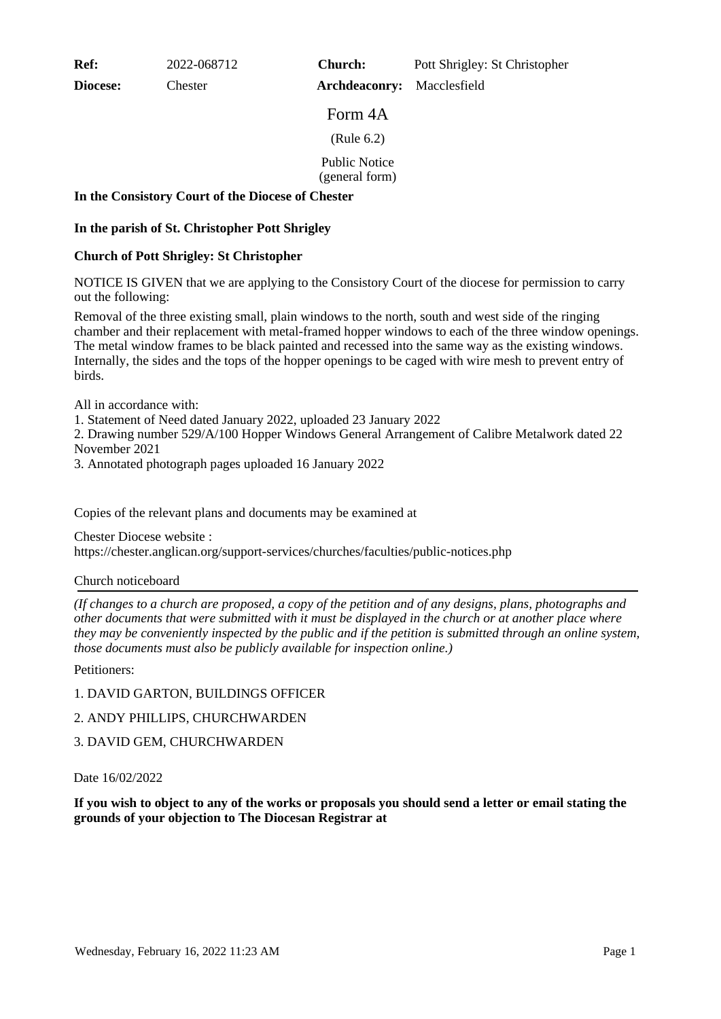**Ref:** 2022-068712

**Diocese:** Chester

**Church:** Pott Shrigley: St Christopher

**Archdeaconry:** Macclesfield

Form 4A

(Rule 6.2)

Public Notice

(general form)

## **In the Consistory Court of the Diocese of Chester**

## **In the parish of St. Christopher Pott Shrigley**

## **Church of Pott Shrigley: St Christopher**

NOTICE IS GIVEN that we are applying to the Consistory Court of the diocese for permission to carry out the following:

Removal of the three existing small, plain windows to the north, south and west side of the ringing chamber and their replacement with metal-framed hopper windows to each of the three window openings. The metal window frames to be black painted and recessed into the same way as the existing windows. Internally, the sides and the tops of the hopper openings to be caged with wire mesh to prevent entry of birds.

All in accordance with:

1. Statement of Need dated January 2022, uploaded 23 January 2022

2. Drawing number 529/A/100 Hopper Windows General Arrangement of Calibre Metalwork dated 22 November 2021

3. Annotated photograph pages uploaded 16 January 2022

Copies of the relevant plans and documents may be examined at

Chester Diocese website : https://chester.anglican.org/support-services/churches/faculties/public-notices.php

#### Church noticeboard

*(If changes to a church are proposed, a copy of the petition and of any designs, plans, photographs and other documents that were submitted with it must be displayed in the church or at another place where they may be conveniently inspected by the public and if the petition is submitted through an online system, those documents must also be publicly available for inspection online.)*

Petitioners:

# 1. DAVID GARTON, BUILDINGS OFFICER

2. ANDY PHILLIPS, CHURCHWARDEN

# 3. DAVID GEM, CHURCHWARDEN

Date 16/02/2022

**If you wish to object to any of the works or proposals you should send a letter or email stating the grounds of your objection to The Diocesan Registrar at**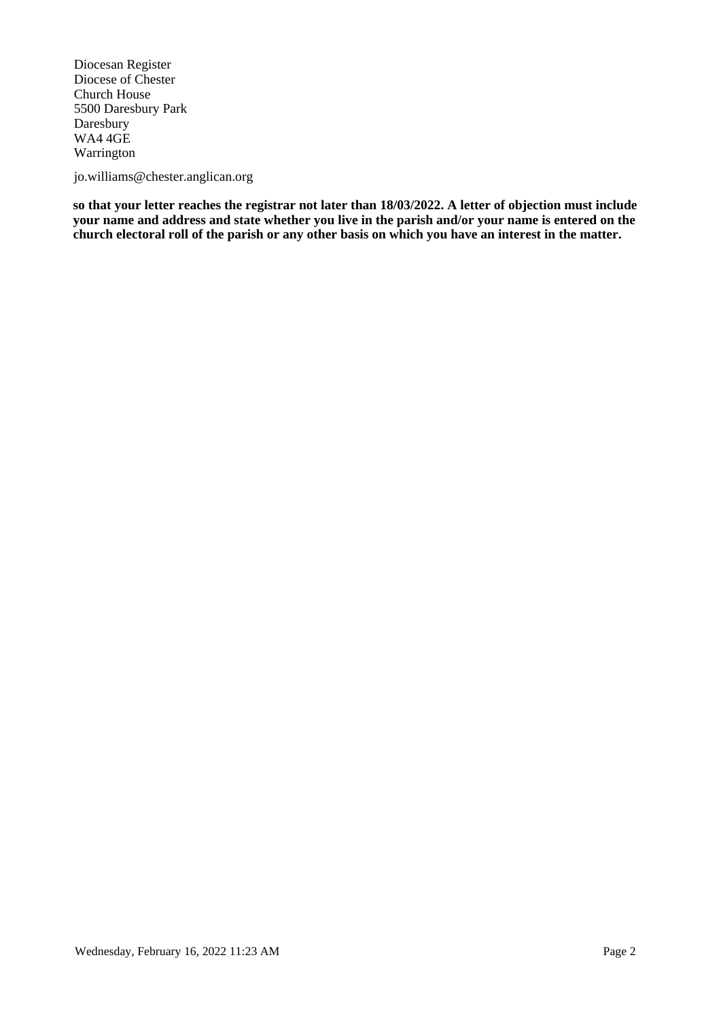Diocesan Register Diocese of Chester Church House 5500 Daresbury Park Daresbury WA4 4GE Warrington

jo.williams@chester.anglican.org

**so that your letter reaches the registrar not later than 18/03/2022. A letter of objection must include your name and address and state whether you live in the parish and/or your name is entered on the church electoral roll of the parish or any other basis on which you have an interest in the matter.**